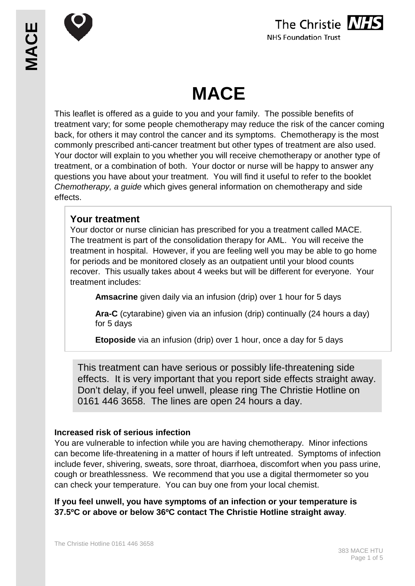





# **MACE**

This leaflet is offered as a guide to you and your family. The possible benefits of treatment vary; for some people chemotherapy may reduce the risk of the cancer coming back, for others it may control the cancer and its symptoms. Chemotherapy is the most commonly prescribed anti-cancer treatment but other types of treatment are also used. Your doctor will explain to you whether you will receive chemotherapy or another type of treatment, or a combination of both. Your doctor or nurse will be happy to answer any questions you have about your treatment. You will find it useful to refer to the booklet *Chemotherapy, a guide* which gives general information on chemotherapy and side effects.

# **Your treatment**

Your doctor or nurse clinician has prescribed for you a treatment called MACE. The treatment is part of the consolidation therapy for AML. You will receive the treatment in hospital. However, if you are feeling well you may be able to go home for periods and be monitored closely as an outpatient until your blood counts recover. This usually takes about 4 weeks but will be different for everyone. Your treatment includes:

**Amsacrine** given daily via an infusion (drip) over 1 hour for 5 days

**Ara-C** (cytarabine) given via an infusion (drip) continually (24 hours a day) for 5 days

**Etoposide** via an infusion (drip) over 1 hour, once a day for 5 days

This treatment can have serious or possibly life-threatening side effects. It is very important that you report side effects straight away. Don't delay, if you feel unwell, please ring The Christie Hotline on 0161 446 3658. The lines are open 24 hours a day.

# **Increased risk of serious infection**

You are vulnerable to infection while you are having chemotherapy. Minor infections can become life-threatening in a matter of hours if left untreated. Symptoms of infection include fever, shivering, sweats, sore throat, diarrhoea, discomfort when you pass urine, cough or breathlessness. We recommend that you use a digital thermometer so you can check your temperature. You can buy one from your local chemist.

**If you feel unwell, you have symptoms of an infection or your temperature is 37.5ºC or above or below 36ºC contact The Christie Hotline straight away**.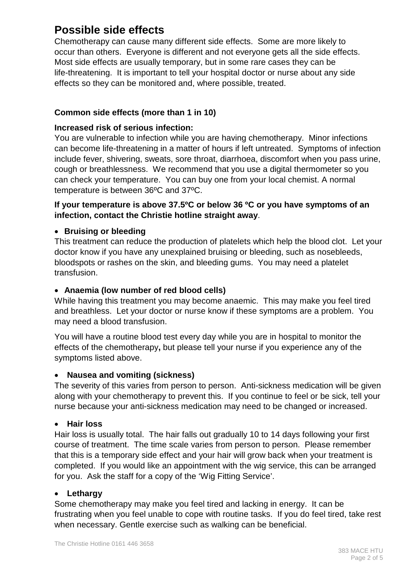# **Possible side effects**

Chemotherapy can cause many different side effects. Some are more likely to occur than others. Everyone is different and not everyone gets all the side effects. Most side effects are usually temporary, but in some rare cases they can be life-threatening. It is important to tell your hospital doctor or nurse about any side effects so they can be monitored and, where possible, treated.

# **Common side effects (more than 1 in 10)**

## **Increased risk of serious infection:**

You are vulnerable to infection while you are having chemotherapy. Minor infections can become life-threatening in a matter of hours if left untreated. Symptoms of infection include fever, shivering, sweats, sore throat, diarrhoea, discomfort when you pass urine, cough or breathlessness. We recommend that you use a digital thermometer so you can check your temperature. You can buy one from your local chemist. A normal temperature is between 36ºC and 37ºC.

# **If your temperature is above 37.5ºC or below 36 ºC or you have symptoms of an infection, contact the Christie hotline straight away**.

# • **Bruising or bleeding**

This treatment can reduce the production of platelets which help the blood clot. Let your doctor know if you have any unexplained bruising or bleeding, such as nosebleeds, bloodspots or rashes on the skin, and bleeding gums. You may need a platelet transfusion.

# • **Anaemia (low number of red blood cells)**

While having this treatment you may become anaemic. This may make you feel tired and breathless. Let your doctor or nurse know if these symptoms are a problem. You may need a blood transfusion.

You will have a routine blood test every day while you are in hospital to monitor the effects of the chemotherapy**,** but please tell your nurse if you experience any of the symptoms listed above.

# • **Nausea and vomiting (sickness)**

The severity of this varies from person to person. Anti-sickness medication will be given along with your chemotherapy to prevent this. If you continue to feel or be sick, tell your nurse because your anti-sickness medication may need to be changed or increased.

#### • **Hair loss**

Hair loss is usually total. The hair falls out gradually 10 to 14 days following your first course of treatment. The time scale varies from person to person. Please remember that this is a temporary side effect and your hair will grow back when your treatment is completed. If you would like an appointment with the wig service, this can be arranged for you. Ask the staff for a copy of the 'Wig Fitting Service'.

#### • **Lethargy**

Some chemotherapy may make you feel tired and lacking in energy. It can be frustrating when you feel unable to cope with routine tasks. If you do feel tired, take rest when necessary. Gentle exercise such as walking can be beneficial.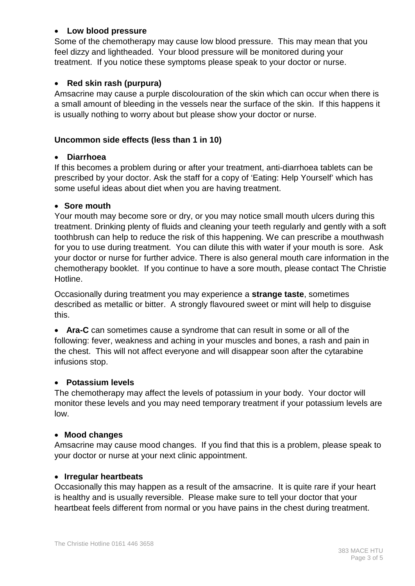# • **Low blood pressure**

Some of the chemotherapy may cause low blood pressure. This may mean that you feel dizzy and lightheaded. Your blood pressure will be monitored during your treatment. If you notice these symptoms please speak to your doctor or nurse.

# • **Red skin rash (purpura)**

Amsacrine may cause a purple discolouration of the skin which can occur when there is a small amount of bleeding in the vessels near the surface of the skin. If this happens it is usually nothing to worry about but please show your doctor or nurse.

#### **Uncommon side effects (less than 1 in 10)**

#### • **Diarrhoea**

If this becomes a problem during or after your treatment, anti-diarrhoea tablets can be prescribed by your doctor. Ask the staff for a copy of 'Eating: Help Yourself' which has some useful ideas about diet when you are having treatment.

#### • **Sore mouth**

Your mouth may become sore or dry, or you may notice small mouth ulcers during this treatment. Drinking plenty of fluids and cleaning your teeth regularly and gently with a soft toothbrush can help to reduce the risk of this happening. We can prescribe a mouthwash for you to use during treatment. You can dilute this with water if your mouth is sore. Ask your doctor or nurse for further advice. There is also general mouth care information in the chemotherapy booklet. If you continue to have a sore mouth, please contact The Christie Hotline.

Occasionally during treatment you may experience a **strange taste**, sometimes described as metallic or bitter. A strongly flavoured sweet or mint will help to disguise this.

• **Ara-C** can sometimes cause a syndrome that can result in some or all of the following: fever, weakness and aching in your muscles and bones, a rash and pain in the chest. This will not affect everyone and will disappear soon after the cytarabine infusions stop.

#### • **Potassium levels**

The chemotherapy may affect the levels of potassium in your body. Your doctor will monitor these levels and you may need temporary treatment if your potassium levels are low.

#### • **Mood changes**

Amsacrine may cause mood changes. If you find that this is a problem, please speak to your doctor or nurse at your next clinic appointment.

#### • **Irregular heartbeats**

Occasionally this may happen as a result of the amsacrine. It is quite rare if your heart is healthy and is usually reversible. Please make sure to tell your doctor that your heartbeat feels different from normal or you have pains in the chest during treatment.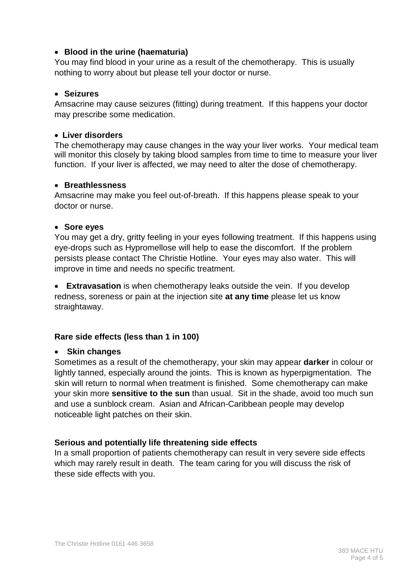## • **Blood in the urine (haematuria)**

You may find blood in your urine as a result of the chemotherapy. This is usually nothing to worry about but please tell your doctor or nurse.

#### • **Seizures**

Amsacrine may cause seizures (fitting) during treatment. If this happens your doctor may prescribe some medication.

#### • **Liver disorders**

The chemotherapy may cause changes in the way your liver works. Your medical team will monitor this closely by taking blood samples from time to time to measure your liver function. If your liver is affected, we may need to alter the dose of chemotherapy.

#### • **Breathlessness**

Amsacrine may make you feel out-of-breath. If this happens please speak to your doctor or nurse.

#### • **Sore eyes**

You may get a dry, gritty feeling in your eyes following treatment. If this happens using eye-drops such as Hypromellose will help to ease the discomfort. If the problem persists please contact The Christie Hotline. Your eyes may also water. This will improve in time and needs no specific treatment.

• **Extravasation** is when chemotherapy leaks outside the vein. If you develop redness, soreness or pain at the injection site **at any time** please let us know straightaway.

#### **Rare side effects (less than 1 in 100)**

#### • **Skin changes**

Sometimes as a result of the chemotherapy, your skin may appear **darker** in colour or lightly tanned, especially around the joints. This is known as hyperpigmentation. The skin will return to normal when treatment is finished. Some chemotherapy can make your skin more **sensitive to the sun** than usual. Sit in the shade, avoid too much sun and use a sunblock cream. Asian and African-Caribbean people may develop noticeable light patches on their skin.

#### **Serious and potentially life threatening side effects**

In a small proportion of patients chemotherapy can result in very severe side effects which may rarely result in death. The team caring for you will discuss the risk of these side effects with you.